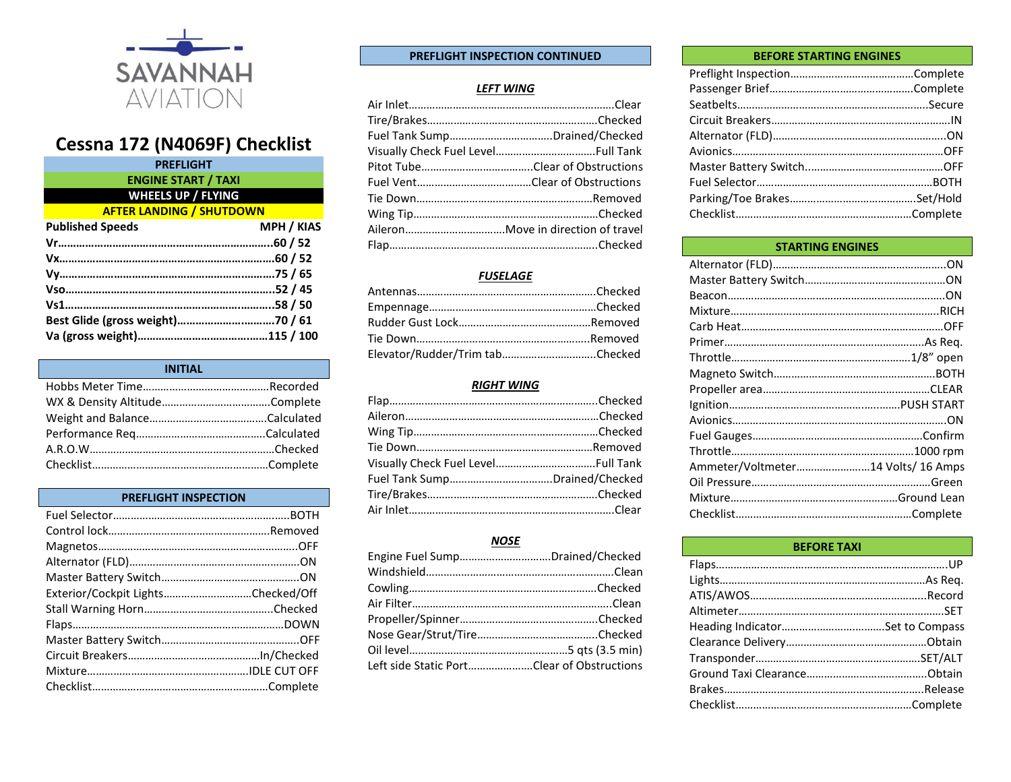

# **Cessna 172 (N4069F) Checklist**

| <b>PREFLIGHT</b>                |                   |
|---------------------------------|-------------------|
| <b>ENGINE START / TAXI</b>      |                   |
| <b>WHEELS UP / FLYING</b>       |                   |
| <b>AFTER LANDING / SHUTDOWN</b> |                   |
| <b>Published Speeds</b>         | <b>MPH / KIAS</b> |
|                                 |                   |
|                                 |                   |
|                                 |                   |
|                                 |                   |
|                                 |                   |
|                                 |                   |
|                                 |                   |
|                                 |                   |

| <b>INITIAL</b> |  |
|----------------|--|
|                |  |
|                |  |
|                |  |
|                |  |
|                |  |
|                |  |

# **PREFLIGHT INSPECTION**

| Exterior/Cockpit LightsChecked/Off |  |
|------------------------------------|--|
|                                    |  |
|                                    |  |
|                                    |  |
|                                    |  |
|                                    |  |
|                                    |  |

# **PREFLIGHT INSPECTION CONTINUED**

#### *LEFT WING*

| Fuel Tank SumpDrained/Checked |
|-------------------------------|
|                               |
|                               |
|                               |
|                               |
|                               |
|                               |
|                               |

## *FUSELAGE*

| Elevator/Rudder/Trim tabChecked |  |
|---------------------------------|--|

#### *RIGHT WING*

## *NOSE*

| Engine Fuel SumpDrained/Checked            |  |
|--------------------------------------------|--|
|                                            |  |
|                                            |  |
|                                            |  |
|                                            |  |
|                                            |  |
|                                            |  |
| Left side Static PortClear of Obstructions |  |

#### **BEFORE STARTING ENGINES**

| <b>STARTING ENGINES</b>            |  |
|------------------------------------|--|
|                                    |  |
|                                    |  |
|                                    |  |
|                                    |  |
|                                    |  |
|                                    |  |
|                                    |  |
|                                    |  |
|                                    |  |
|                                    |  |
|                                    |  |
|                                    |  |
|                                    |  |
| Ammeter/Voltmeter14 Volts/ 16 Amps |  |
|                                    |  |
|                                    |  |
|                                    |  |
|                                    |  |

# **BEFORE TAXI**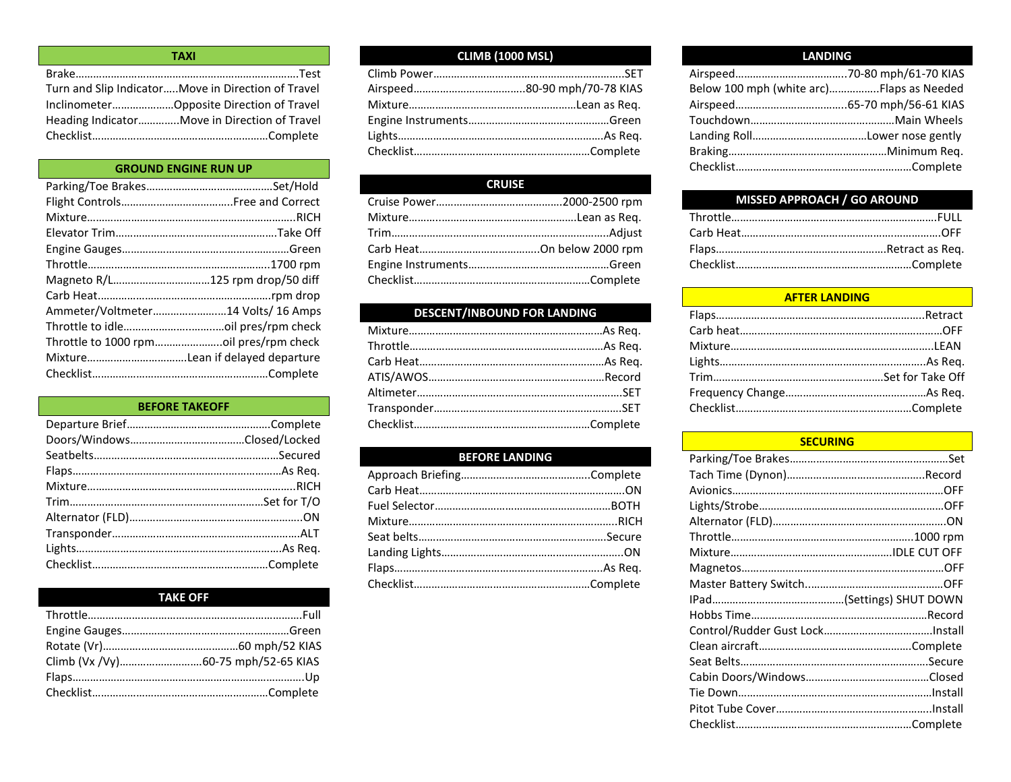| <b>TAXI</b>                                         |  |
|-----------------------------------------------------|--|
|                                                     |  |
| Turn and Slip Indicator Move in Direction of Travel |  |
| InclinometerOpposite Direction of Travel            |  |
| Heading IndicatorMove in Direction of Travel        |  |
|                                                     |  |

# **GROUND ENGINE RUN UP**

| Magneto R/L125 rpm drop/50 diff    |
|------------------------------------|
|                                    |
| Ammeter/Voltmeter14 Volts/ 16 Amps |
|                                    |
|                                    |
|                                    |
|                                    |

## **BEFORE TAKEOFF**

# **TAKE OFF**

# **CLIMB (1000 MSL)**

# **CRUISE**

# **DESCENT/INBOUND FOR LANDING**

# **BEFORE LANDING**

## **LANDING**

| Below 100 mph (white arc)Flaps as Needed |  |
|------------------------------------------|--|
|                                          |  |
|                                          |  |
|                                          |  |
|                                          |  |
|                                          |  |
|                                          |  |

# **MISSED APPROACH / GO AROUND**

# **AFTER LANDING**

# **SECURING**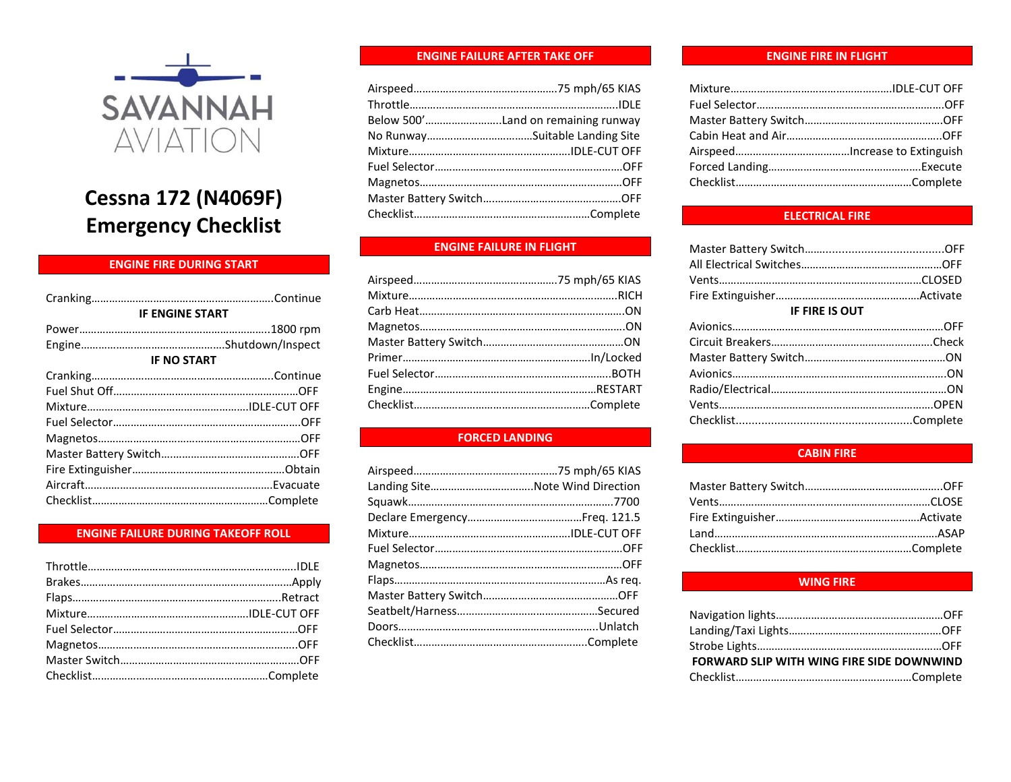

# **Cessna 172 (N4069F) Emergency Checklist**

# **ENGINE FIRE DURING START**

| <b>IF ENGINE START</b> |
|------------------------|
|                        |
|                        |
| <b>IF NO START</b>     |
|                        |
|                        |
|                        |
|                        |
|                        |
|                        |
|                        |
|                        |
|                        |
|                        |

#### **ENGINE FAILURE DURING TAKEOFF ROLL**

#### **ENGINE FAILURE AFTER TAKE OFF**

| Below 500'Land on remaining runway |
|------------------------------------|
|                                    |
|                                    |
|                                    |
|                                    |
|                                    |
|                                    |

# **ENGINE FAILURE IN FLIGHT**

# **FORCED LANDING**

#### **ENGINE FIRE IN FLIGHT**

# **ELECTRICAL FIRE**

| <b>IF FIRE IS OUT</b> |  |
|-----------------------|--|
|                       |  |
|                       |  |
|                       |  |
|                       |  |
|                       |  |
|                       |  |
|                       |  |
|                       |  |

#### **CABIN FIRE**

#### **WING FIRE**

| FORWARD SLIP WITH WING FIRE SIDE DOWNWIND |  |
|-------------------------------------------|--|
|                                           |  |